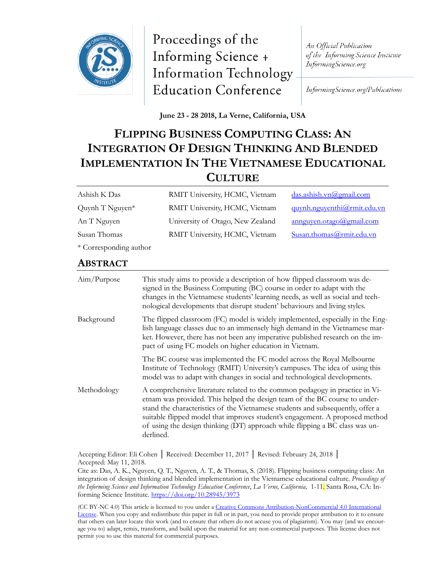

Proceedings of the Informing Science + **Information Technology Education Conference** 

An Official Publication of the Informing Science Institute InformingScience.org

InformingScience.org/Publications

**June 23 - 28 2018, La Verne, California, USA**

# **FLIPPING BUSINESS COMPUTING CLASS: AN INTEGRATION OF DESIGN THINKING AND BLENDED IMPLEMENTATION IN THE VIETNAMESE EDUCATIONAL CULTURE**

| Ashish K Das           | RMIT University, HCMC, Vietnam   | das.ashish.vn@gmail.com     |
|------------------------|----------------------------------|-----------------------------|
| Quynh $T$ Nguyen*      | RMIT University, HCMC, Vietnam   | quynh.nguyenthi@rmit.edu.vn |
| An T Nguyen            | University of Otago, New Zealand | annguyen.otago@gmail.com    |
| Susan Thomas           | RMIT University, HCMC, Vietnam   | Susan.thomas@rmit.edu.vn    |
| * Corresponding author |                                  |                             |

#### **ABSTRACT**

| Aim/Purpose | This study aims to provide a description of how flipped classroom was de-<br>signed in the Business Computing (BC) course in order to adapt with the<br>changes in the Vietnamese students' learning needs, as well as social and tech-<br>nological developments that disrupt student' behaviours and living styles.                                                                                                     |
|-------------|---------------------------------------------------------------------------------------------------------------------------------------------------------------------------------------------------------------------------------------------------------------------------------------------------------------------------------------------------------------------------------------------------------------------------|
| Background  | The flipped classroom (FC) model is widely implemented, especially in the Eng-<br>lish language classes due to an immensely high demand in the Vietnamese mar-<br>ket. However, there has not been any imperative published research on the im-<br>pact of using FC models on higher education in Vietnam.                                                                                                                |
|             | The BC course was implemented the FC model across the Royal Melbourne<br>Institute of Technology (RMIT) University's campuses. The idea of using this<br>model was to adapt with changes in social and technological developments.                                                                                                                                                                                        |
| Methodology | A comprehensive literature related to the common pedagogy in practice in Vi-<br>etnam was provided. This helped the design team of the BC course to under-<br>stand the characteristics of the Vietnamese students and subsequently, offer a<br>suitable flipped model that improves student's engagement. A proposed method<br>of using the design thinking (DT) approach while flipping a BC class was un-<br>derlined. |

Accepting Editor: Eli Cohen │ Received: December 11, 2017 │ Revised: February 24, 2018 │ Accepted: May 11, 2018.

Cite as: Das, A. K., Nguyen, Q. T., Nguyen, A. T., & Thomas, S. (2018). Flipping business computing class: An integration of design thinking and blended implementation in the Vietnamese educational culture. *Proceedings of the Informing Science and Information Technology Education Conference*, *La Verne, California,* 1-11. Santa Rosa, CA: Informing Science Institute. <https://doi.org/10.28945/3973>

(CC BY-NC 4.0) This article is licensed to you under a Creative Commons Attribution-[NonCommercial 4.0 International](https://creativecommons.org/licenses/by-nc/4.0/)  [License.](https://creativecommons.org/licenses/by-nc/4.0/) When you copy and redistribute this paper in full or in part, you need to provide proper attribution to it to ensure that others can later locate this work (and to ensure that others do not accuse you of plagiarism). You may (and we encourage you to) adapt, remix, transform, and build upon the material for any non-commercial purposes. This license does not permit you to use this material for commercial purposes.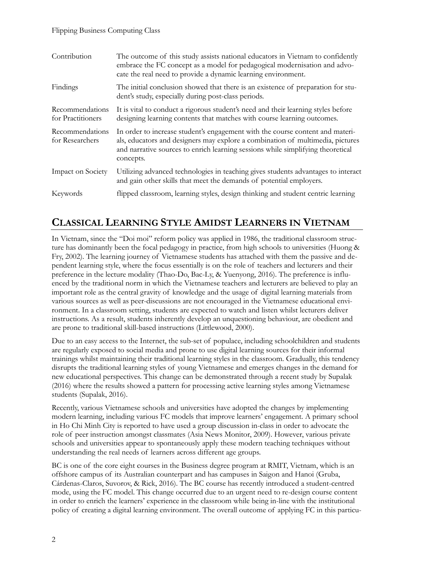#### Flipping Business Computing Class

| Contribution                         | The outcome of this study assists national educators in Vietnam to confidently<br>embrace the FC concept as a model for pedagogical modernisation and advo-<br>cate the real need to provide a dynamic learning environment.                                    |
|--------------------------------------|-----------------------------------------------------------------------------------------------------------------------------------------------------------------------------------------------------------------------------------------------------------------|
| Findings                             | The initial conclusion showed that there is an existence of preparation for stu-<br>dent's study, especially during post-class periods.                                                                                                                         |
| Recommendations<br>for Practitioners | It is vital to conduct a rigorous student's need and their learning styles before<br>designing learning contents that matches with course learning outcomes.                                                                                                    |
| Recommendations<br>for Researchers   | In order to increase student's engagement with the course content and materi-<br>als, educators and designers may explore a combination of multimedia, pictures<br>and narrative sources to enrich learning sessions while simplifying theoretical<br>concepts. |
| Impact on Society                    | Utilizing advanced technologies in teaching gives students advantages to interact<br>and gain other skills that meet the demands of potential employers.                                                                                                        |
| Keywords                             | flipped classroom, learning styles, design thinking and student centric learning                                                                                                                                                                                |

# **CLASSICAL LEARNING STYLE AMIDST LEARNERS IN VIETNAM**

In Vietnam, since the "Doi moi" reform policy was applied in 1986, the traditional classroom structure has dominantly been the focal pedagogy in practice, from high schools to universities (Huong & Fry, 2002). The learning journey of Vietnamese students has attached with them the passive and dependent learning style, where the focus essentially is on the role of teachers and lecturers and their preference in the lecture modality (Thao-Do, Bac-Ly, & Yuenyong, 2016). The preference is influenced by the traditional norm in which the Vietnamese teachers and lecturers are believed to play an important role as the central gravity of knowledge and the usage of digital learning materials from various sources as well as peer-discussions are not encouraged in the Vietnamese educational environment. In a classroom setting, students are expected to watch and listen whilst lecturers deliver instructions. As a result, students inherently develop an unquestioning behaviour, are obedient and are prone to traditional skill-based instructions (Littlewood, 2000).

Due to an easy access to the Internet, the sub-set of populace, including schoolchildren and students are regularly exposed to social media and prone to use digital learning sources for their informal trainings whilst maintaining their traditional learning styles in the classroom. Gradually, this tendency disrupts the traditional learning styles of young Vietnamese and emerges changes in the demand for new educational perspectives. This change can be demonstrated through a recent study by Supalak (2016) where the results showed a pattern for processing active learning styles among Vietnamese students (Supalak, 2016).

Recently, various Vietnamese schools and universities have adopted the changes by implementing modern learning, including various FC models that improve learners' engagement. A primary school in Ho Chi Minh City is reported to have used a group discussion in-class in order to advocate the role of peer instruction amongst classmates (Asia News Monitor, 2009). However, various private schools and universities appear to spontaneously apply these modern teaching techniques without understanding the real needs of learners across different age groups.

BC is one of the core eight courses in the Business degree program at RMIT, Vietnam, which is an offshore campus of its Australian counterpart and has campuses in Saigon and Hanoi (Gruba, Cárdenas-Claros, Suvorov, & Rick, 2016). The BC course has recently introduced a student-centred mode, using the FC model. This change occurred due to an urgent need to re-design course content in order to enrich the learners' experience in the classroom while being in-line with the institutional policy of creating a digital learning environment. The overall outcome of applying FC in this particu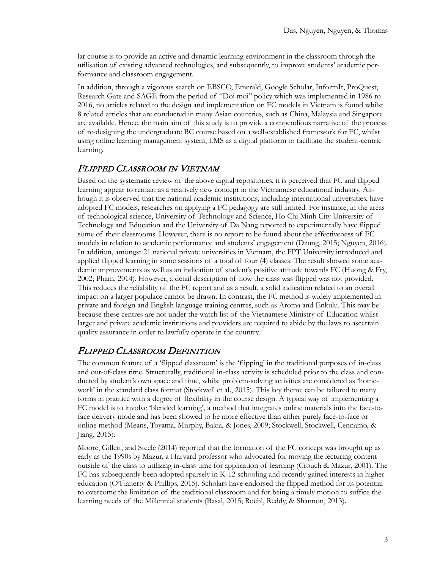lar course is to provide an active and dynamic learning environment in the classroom through the utilisation of existing advanced technologies, and subsequently, to improve students' academic performance and classroom engagement.

In addition, through a vigorous search on EBSCO, Emerald, Google Scholar, InformIt, ProQuest, Research Gate and SAGE from the period of "Doi moi" policy which was implemented in 1986 to 2016, no articles related to the design and implementation on FC models in Vietnam is found whilst 8 related articles that are conducted in many Asian countries, such as China, Malaysia and Singapore are available. Hence, the main aim of this study is to provide a compendious narrative of the process of re-designing the undergraduate BC course based on a well-established framework for FC, whilst using online learning management system, LMS as a digital platform to facilitate the student-centric learning.

#### FLIPPED CLASSROOM IN VIETNAM

Based on the systematic review of the above digital repositories, it is perceived that FC and flipped learning appear to remain as a relatively new concept in the Vietnamese educational industry. Although it is observed that the national academic institutions, including international universities, have adopted FC models, researches on applying a FC pedagogy are still limited. For instance, in the areas of technological science, University of Technology and Science, Ho Chi Minh City University of Technology and Education and the University of Da Nang reported to experimentally have flipped some of their classrooms. However, there is no report to be found about the effectiveness of FC models in relation to academic performance and students' engagement (Dzung, 2015; Nguyen, 2016). In addition, amongst 21 national private universities in Vietnam, the FPT University introduced and applied flipped learning in some sessions of a total of four (4) classes. The result showed some academic improvements as well as an indication of student's positive attitude towards FC (Huong & Fry, 2002; Pham, 2014). However, a detail description of how the class was flipped was not provided. This reduces the reliability of the FC report and as a result, a solid indication related to an overall impact on a larger populace cannot be drawn. In contrast, the FC method is widely implemented in private and foreign and English language training centres, such as Aroma and Enkulu. This may be because these centres are not under the watch list of the Vietnamese Ministry of Education whilst larger and private academic institutions and providers are required to abide by the laws to ascertain quality assurance in order to lawfully operate in the country.

#### FLIPPED CLASSROOM DEFINITION

The common feature of a 'flipped classroom' is the 'flipping' in the traditional purposes of in-class and out-of-class time. Structurally, traditional in-class activity is scheduled prior to the class and conducted by student's own space and time, whilst problem-solving activities are considered as 'homework' in the standard class format (Stockwell et al., 2015). This key theme can be tailored to many forms in practice with a degree of flexibility in the course design. A typical way of implementing a FC model is to involve 'blended learning', a method that integrates online materials into the face-toface delivery mode and has been showed to be more effective than either purely face-to-face or online method (Means, Toyama, Murphy, Bakia, & Jones, 2009; Stockwell, Stockwell, Cennamo, & Jiang, 2015).

Moore, Gillett, and Steele (2014) reported that the formation of the FC concept was brought up as early as the 1990s by Mazur, a Harvard professor who advocated for moving the lecturing content outside of the class to utilizing in-class time for application of learning (Crouch & Mazur, 2001). The FC has subsequently been adopted sparsely in K-12 schooling and recently gained interests in higher education (O'Flaherty & Phillips, 2015). Scholars have endorsed the flipped method for its potential to overcome the limitation of the traditional classroom and for being a timely motion to suffice the learning needs of the Millennial students (Basal, 2015; Roehl, Reddy, & Shannon, 2013).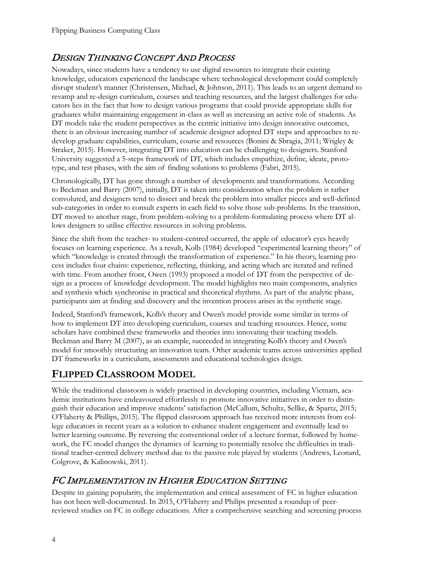# DESIGN THINKING CONCEPT AND PROCESS

Nowadays, since students have a tendency to use digital resources to integrate their existing knowledge, educators experienced the landscape where technological development could completely disrupt student's manner (Christensen, Michael, & Johnson, 2011). This leads to an urgent demand to revamp and re-design curriculum, courses and teaching resources, and the largest challenges for educators lies in the fact that how to design various programs that could provide appropriate skills for graduates whilst maintaining engagement in-class as well as increasing an active role of students. As DT models take the student perspectives as the centric initiative into design innovative outcomes, there is an obvious increasing number of academic designer adopted DT steps and approaches to redevelop graduate capabilities, curriculum, course and resources (Bonini & Sbragia, 2011; Wrigley & Straker, 2015). However, integrating DT into education can be challenging to designers. Stanford University suggested a 5-steps framework of DT, which includes empathize, define, ideate, prototype, and test phases, with the aim of finding solutions to problems (Fabri, 2015).

Chronologically, DT has gone through a number of developments and transformations. According to Beckman and Barry (2007), initially, DT is taken into consideration when the problem is rather convoluted, and designers tend to dissect and break the problem into smaller pieces and well-defined sub-categories in order to consult experts in each field to solve those sub-problems. In the transition, DT moved to another stage, from problem-solving to a problem-formulating process where DT allows designers to utilise effective resources in solving problems.

Since the shift from the teacher- to student-centred occurred, the apple of educator's eyes heavily focuses on learning experience. As a result, Kolb (1984) developed "experimental learning theory" of which "knowledge is created through the transformation of experience." In his theory, learning process includes four chains: experience, reflecting, thinking, and acting which are iterated and refined with time. From another front, Owen (1993) proposed a model of DT from the perspective of design as a process of knowledge development. The model highlights two main components, analytics and synthesis which synchronise in practical and theoretical rhythms. As part of the analytic phase, participants aim at finding and discovery and the invention process arises in the synthetic stage.

Indeed, Stanford's framework, Kolb's theory and Owen's model provide some similar in terms of how to implement DT into developing curriculum, courses and teaching resources. Hence, some scholars have combined these frameworks and theories into innovating their teaching models. Beckman and Barry M (2007), as an example, succeeded in integrating Kolb's theory and Owen's model for smoothly structuring an innovation team. Other academic teams across universities applied DT frameworks in a curriculum, assessments and educational technologies design.

# **FLIPPED CLASSROOM MODEL**

While the traditional classroom is widely practised in developing countries, including Vietnam, academic institutions have endeavoured effortlessly to promote innovative initiatives in order to distinguish their education and improve students' satisfaction (McCallum, Schultz, Sellke, & Spartz, 2015; O'Flaherty & Phillips, 2015). The flipped classroom approach has received more interests from college educators in recent years as a solution to enhance student engagement and eventually lead to better learning outcome. By reversing the conventional order of a lecture format, followed by homework, the FC model changes the dynamics of learning to potentially resolve the difficulties in traditional teacher-centred delivery method due to the passive role played by students (Andrews, Leonard, Colgrove, & Kalinowski, 2011).

### FC IMPLEMENTATION IN HIGHER EDUCATION SETTING

Despite its gaining popularity, the implementation and critical assessment of FC in higher education has not been well-documented. In 2015, O'Flaherty and Philips presented a roundup of peerreviewed studies on FC in college educations. After a comprehensive searching and screening process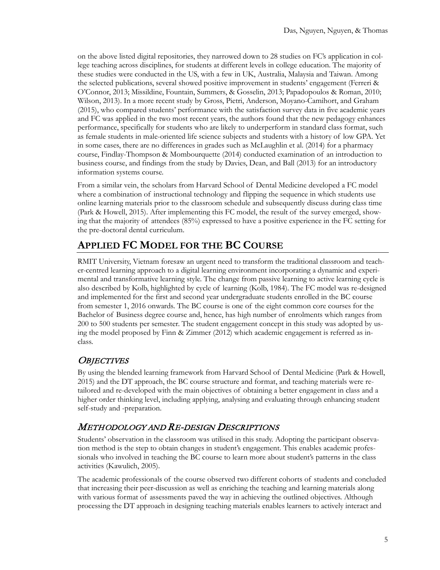on the above listed digital repositories, they narrowed down to 28 studies on FC's application in college teaching across disciplines, for students at different levels in college education. The majority of these studies were conducted in the US, with a few in UK, Australia, Malaysia and Taiwan. Among the selected publications, several showed positive improvement in students' engagement (Ferreri & O'Connor, 2013; Missildine, Fountain, Summers, & Gosselin, 2013; Papadopoulos & Roman, 2010; Wilson, 2013). In a more recent study by Gross, Pietri, Anderson, Moyano-Camihort, and Graham (2015), who compared students' performance with the satisfaction survey data in five academic years and FC was applied in the two most recent years, the authors found that the new pedagogy enhances performance, specifically for students who are likely to underperform in standard class format, such as female students in male-oriented life science subjects and students with a history of low GPA. Yet in some cases, there are no differences in grades such as McLaughlin et al. (2014) for a pharmacy course, Findlay-Thompson & Mombourquette (2014) conducted examination of an introduction to business course, and findings from the study by Davies, Dean, and Ball (2013) for an introductory information systems course.

From a similar vein, the scholars from Harvard School of Dental Medicine developed a FC model where a combination of instructional technology and flipping the sequence in which students use online learning materials prior to the classroom schedule and subsequently discuss during class time (Park & Howell, 2015). After implementing this FC model, the result of the survey emerged, showing that the majority of attendees (85%) expressed to have a positive experience in the FC setting for the pre-doctoral dental curriculum.

# **APPLIED FC MODEL FOR THE BC COURSE**

RMIT University, Vietnam foresaw an urgent need to transform the traditional classroom and teacher-centred learning approach to a digital learning environment incorporating a dynamic and experimental and transformative learning style. The change from passive learning to active learning cycle is also described by Kolb, highlighted by cycle of learning (Kolb, 1984). The FC model was re-designed and implemented for the first and second year undergraduate students enrolled in the BC course from semester 1, 2016 onwards. The BC course is one of the eight common core courses for the Bachelor of Business degree course and, hence, has high number of enrolments which ranges from 200 to 500 students per semester. The student engagement concept in this study was adopted by using the model proposed by Finn & Zimmer (2012) which academic engagement is referred as inclass.

### **OBJECTIVES**

By using the blended learning framework from Harvard School of Dental Medicine (Park & Howell, 2015) and the DT approach, the BC course structure and format, and teaching materials were retailored and re-developed with the main objectives of obtaining a better engagement in class and a higher order thinking level, including applying, analysing and evaluating through enhancing student self-study and -preparation.

# METHODOLOGY AND RE-DESIGN DESCRIPTIONS

Students' observation in the classroom was utilised in this study. Adopting the participant observation method is the step to obtain changes in student's engagement. This enables academic professionals who involved in teaching the BC course to learn more about student's patterns in the class activities (Kawulich, 2005).

The academic professionals of the course observed two different cohorts of students and concluded that increasing their peer-discussion as well as enriching the teaching and learning materials along with various format of assessments paved the way in achieving the outlined objectives. Although processing the DT approach in designing teaching materials enables learners to actively interact and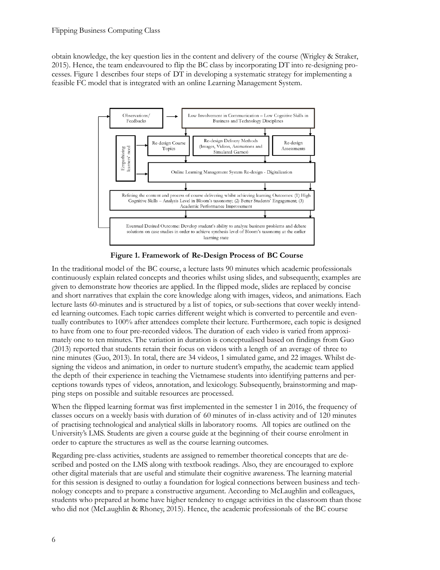obtain knowledge, the key question lies in the content and delivery of the course (Wrigley & Straker, 2015). Hence, the team endeavoured to flip the BC class by incorporating DT into re-designing processes. Figure 1 describes four steps of DT in developing a systematic strategy for implementing a feasible FC model that is integrated with an online Learning Management System.



**Figure 1. Framework of Re-Design Process of BC Course**

In the traditional model of the BC course, a lecture lasts 90 minutes which academic professionals continuously explain related concepts and theories whilst using slides, and subsequently, examples are given to demonstrate how theories are applied. In the flipped mode, slides are replaced by concise and short narratives that explain the core knowledge along with images, videos, and animations. Each lecture lasts 60-minutes and is structured by a list of topics, or sub-sections that cover weekly intended learning outcomes. Each topic carries different weight which is converted to percentile and eventually contributes to 100% after attendees complete their lecture. Furthermore, each topic is designed to have from one to four pre-recorded videos. The duration of each video is varied from approximately one to ten minutes. The variation in duration is conceptualised based on findings from Guo (2013) reported that students retain their focus on videos with a length of an average of three to nine minutes (Guo, 2013). In total, there are 34 videos, 1 simulated game, and 22 images. Whilst designing the videos and animation, in order to nurture student's empathy, the academic team applied the depth of their experience in teaching the Vietnamese students into identifying patterns and perceptions towards types of videos, annotation, and lexicology. Subsequently, brainstorming and mapping steps on possible and suitable resources are processed.

When the flipped learning format was first implemented in the semester 1 in 2016, the frequency of classes occurs on a weekly basis with duration of 60 minutes of in-class activity and of 120 minutes of practising technological and analytical skills in laboratory rooms. All topics are outlined on the University's LMS. Students are given a course guide at the beginning of their course enrolment in order to capture the structures as well as the course learning outcomes.

Regarding pre-class activities, students are assigned to remember theoretical concepts that are described and posted on the LMS along with textbook readings. Also, they are encouraged to explore other digital materials that are useful and stimulate their cognitive awareness. The learning material for this session is designed to outlay a foundation for logical connections between business and technology concepts and to prepare a constructive argument. According to McLaughlin and colleagues, students who prepared at home have higher tendency to engage activities in the classroom than those who did not (McLaughlin & Rhoney, 2015). Hence, the academic professionals of the BC course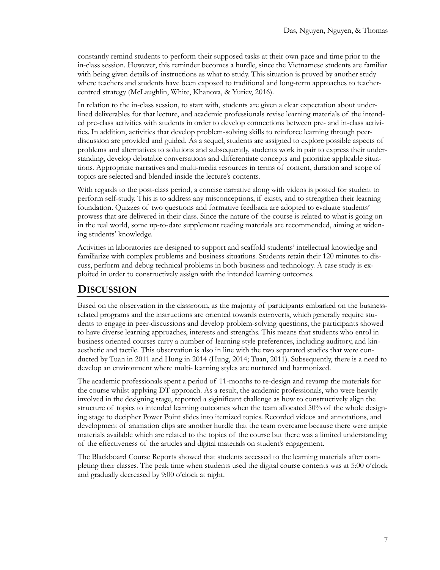constantly remind students to perform their supposed tasks at their own pace and time prior to the in-class session. However, this reminder becomes a hurdle, since the Vietnamese students are familiar with being given details of instructions as what to study. This situation is proved by another study where teachers and students have been exposed to traditional and long-term approaches to teachercentred strategy (McLaughlin, White, Khanova, & Yuriev, 2016).

In relation to the in-class session, to start with, students are given a clear expectation about underlined deliverables for that lecture, and academic professionals revise learning materials of the intended pre-class activities with students in order to develop connections between pre- and in-class activities. In addition, activities that develop problem-solving skills to reinforce learning through peerdiscussion are provided and guided. As a sequel, students are assigned to explore possible aspects of problems and alternatives to solutions and subsequently, students work in pair to express their understanding, develop debatable conversations and differentiate concepts and prioritize applicable situations. Appropriate narratives and multi-media resources in terms of content, duration and scope of topics are selected and blended inside the lecture's contents.

With regards to the post-class period, a concise narrative along with videos is posted for student to perform self-study. This is to address any misconceptions, if exists, and to strengthen their learning foundation. Quizzes of two questions and formative feedback are adopted to evaluate students' prowess that are delivered in their class. Since the nature of the course is related to what is going on in the real world, some up-to-date supplement reading materials are recommended, aiming at widening students' knowledge.

Activities in laboratories are designed to support and scaffold students' intellectual knowledge and familiarize with complex problems and business situations. Students retain their 120 minutes to discuss, perform and debug technical problems in both business and technology. A case study is exploited in order to constructively assign with the intended learning outcomes.

### **DISCUSSION**

Based on the observation in the classroom, as the majority of participants embarked on the businessrelated programs and the instructions are oriented towards extroverts, which generally require students to engage in peer-discussions and develop problem-solving questions, the participants showed to have diverse learning approaches, interests and strengths. This means that students who enrol in business oriented courses carry a number of learning style preferences, including auditory, and kinaesthetic and tactile. This observation is also in line with the two separated studies that were conducted by Tuan in 2011 and Hung in 2014 (Hung, 2014; Tuan, 2011). Subsequently, there is a need to develop an environment where multi- learning styles are nurtured and harmonized.

The academic professionals spent a period of 11-months to re-design and revamp the materials for the course whilst applying DT approach. As a result, the academic professionals, who were heavily involved in the designing stage, reported a siginificant challenge as how to constructively align the structure of topics to intended learning outcomes when the team allocated 50% of the whole designing stage to decipher Power Point slides into itemized topics. Recorded videos and annotations, and development of animation clips are another hurdle that the team overcame because there were ample materials available which are related to the topics of the course but there was a limited understanding of the effectiveness of the articles and digital materials on student's engagement.

The Blackboard Course Reports showed that students accessed to the learning materials after completing their classes. The peak time when students used the digital course contents was at 5:00 o'clock and gradually decreased by 9:00 o'clock at night.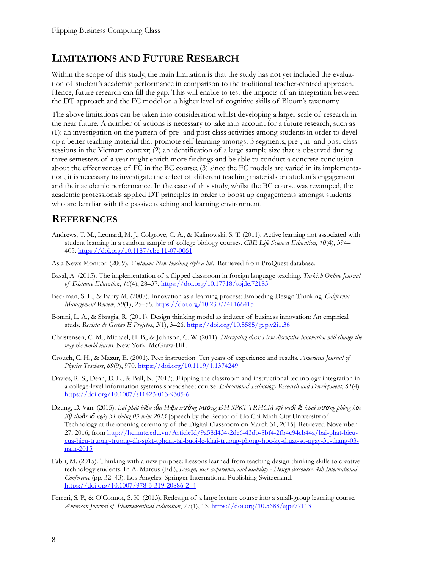# **LIMITATIONS AND FUTURE RESEARCH**

Within the scope of this study, the main limitation is that the study has not yet included the evaluation of student's academic performance in comparison to the traditional teacher-centred approach. Hence, future research can fill the gap. This will enable to test the impacts of an integration between the DT approach and the FC model on a higher level of cognitive skills of Bloom's taxonomy.

The above limitations can be taken into consideration whilst developing a larger scale of research in the near future. A number of actions is necessary to take into account for a future research, such as (1): an investigation on the pattern of pre- and post-class activities among students in order to develop a better teaching material that promote self-learning amongst 3 segments, pre-, in- and post-class sessions in the Vietnam context; (2) an identification of a large sample size that is observed during three semesters of a year might enrich more findings and be able to conduct a concrete conclusion about the effectiveness of FC in the BC course; (3) since the FC models are varied in its implementation, it is necessary to investigate the effect of different teaching materials on student's engagement and their academic performance. In the case of this study, whilst the BC course was revamped, the academic professionals applied DT principles in order to boost up engagements amongst students who are familiar with the passive teaching and learning environment.

# **REFERENCES**

- Andrews, T. M., Leonard, M. J., Colgrove, C. A., & Kalinowski, S. T. (2011). Active learning not associated with student learning in a random sample of college biology courses. *CBE Life Sciences Education*, *10*(4), 394– 405[. https://doi.org/10.1187/cbe.11](https://doi.org/10.1187/cbe.11-07-0061)-07-0061
- Asia News Monitor. (2009). *Vietnam: New teaching style a hit*. Retrieved from ProQuest database.
- Basal, A. (2015). The implementation of a flipped classroom in foreign language teaching. *Turkish Online Journal of Distance Education*, *16*(4), 28–37. <https://doi.org/10.17718/tojde.72185>
- Beckman, S. L., & Barry M. (2007). Innovation as a learning process: Embeding Design Thinking. *California Management Review*, *50*(1), 25–56.<https://doi.org/10.2307/41166415>
- Bonini, L. A., & Sbragia, R. (2011). Design thinking model as inducer of business innovation: An empirical study. *Revista de Gestão E Projetos*, *2*(1), 3–26.<https://doi.org/10.5585/gep.v2i1.36>
- Christensen, C. M., Michael, H. B., & Johnson, C. W. (2011). *Disrupting class: How disruptive innovation will change the way the world learns*. New York: McGraw-Hill.
- Crouch, C. H., & Mazur, E. (2001). Peer instruction: Ten years of experience and results. *American Journal of Physics Teachers*, *69*(9), 970.<https://doi.org/10.1119/1.1374249>
- Davies, R. S., Dean, D. L., & Ball, N. (2013). Flipping the classroom and instructional technology integration in a college-level information systems spreadsheet course. *Educational Technology Research and Development*, *61*(4). [https://doi.org/10.1007/s11423](https://doi.org/10.1007/s11423-013-9305-6)-013-9305-6
- Dzung, D. Van. (2015). Bài phát biểu của Hiệu trưởng trường ĐH SPKT TP.HCM tại buổi lễ khai trương phòng học *Kỹ thuật số ngày 31 tháng 03 năm 2015* [Speech by the Rector of Ho Chi Minh City University of Technology at the opening ceremony of the Digital Classroom on March 31, 2015]. Retrieved November 27, 2016, from [http://hcmute.edu.vn/ArticleId/9a58d434](http://hcmute.edu.vn/ArticleId/9a58d434-2de6-43db-8bf4-2fb4c94cb44a/bai-phat-bieu-cua-hieu-truong-truong-dh-spkt-tphcm-tai-buoi-le-khai-truong-phong-hoc-ky-thuat-so-ngay-31-thang-03-nam-2015)-2de6-43db-8bf4-2fb4c94cb44a/bai-phat-bieucua-hieu-truong-truong-dh-spkt-tphcm-tai-buoi-le-khai-truong[-phong-hoc-](http://hcmute.edu.vn/ArticleId/9a58d434-2de6-43db-8bf4-2fb4c94cb44a/bai-phat-bieu-cua-hieu-truong-truong-dh-spkt-tphcm-tai-buoi-le-khai-truong-phong-hoc-ky-thuat-so-ngay-31-thang-03-nam-2015)ky-thuat-so-ngay-31-thang-03 nam-[2015](http://hcmute.edu.vn/ArticleId/9a58d434-2de6-43db-8bf4-2fb4c94cb44a/bai-phat-bieu-cua-hieu-truong-truong-dh-spkt-tphcm-tai-buoi-le-khai-truong-phong-hoc-ky-thuat-so-ngay-31-thang-03-nam-2015)
- Fabri, M. (2015). Thinking with a new purpose: Lessons learned from teaching design thinking skills to creative technology students. In A. Marcus (Ed.), *Design, user experience, and usability - Design discourse, 4th International Conference* (pp. 32–43). Los Angeles: Springer International Publishing Switzerland. [https://doi.org/10.1007/978](https://doi.org/10.1007/978-3-319-20886-2_4)-3-319-20886-2\_4
- Ferreri, S. P., & O'Connor, S. K. (2013). Redesign of a large lecture course into a small-group learning course. *American Journal of Pharmaceutical Education*, *77*(1), 13.<https://doi.org/10.5688/ajpe77113>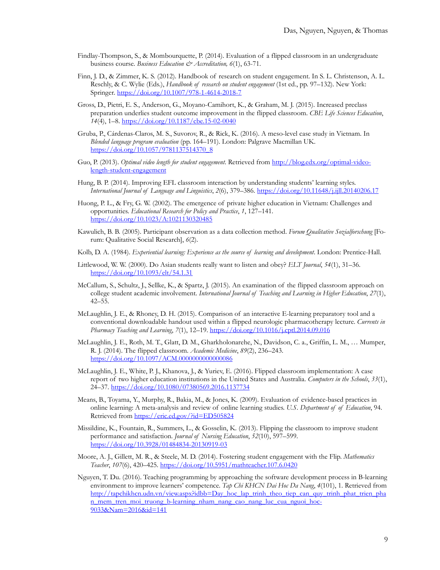- Findlay-Thompson, S., & Mombourquette, P. (2014). Evaluation of a flipped classroom in an undergraduate business course. *Business Education & Accreditation, 6*(1), 63-71.
- Finn, J. D., & Zimmer, K. S. (2012). Handbook of research on student engagement. In S. L. Christenson, A. L. Reschly, & C. Wylie (Eds.), *Handbook of research on student engagement* (1st ed., pp. 97–132). New York: Springer. [https://doi.org/10.1007/978](https://doi.org/10.1007/978-1-4614-2018-7)-1-4614-2018-7
- Gross, D., Pietri, E. S., Anderson, G., Moyano-Camihort, K., & Graham, M. J. (2015). Increased preclass preparation underlies student outcome improvement in the flipped classroom. *CBE Life Sciences Education*, *14*(4), 1–8. [https://doi.org/10.1187/cbe.15](https://doi.org/10.1187/cbe.15-02-0040)-02-0040
- Gruba, P., Cárdenas-Claros, M. S., Suvorov, R., & Rick, K. (2016). A meso-level case study in Vietnam. In *Blended language program evaluation* (pp. 164–191). London: Palgrave Macmillan UK. [https://doi.org/10.1057/9781137514370\\_8](https://doi.org/10.1057/9781137514370_8)
- Guo, P. (2013). *Optimal video length for student engagement*. Retrieved fro[m http://blog.edx.org/optimal](http://blog.edx.org/optimal-video-length-student-engagement)-videolength-student-[engagement](http://blog.edx.org/optimal-video-length-student-engagement)
- Hung, B. P. (2014). Improving EFL classroom interaction by understanding students' learning styles. *International Journal of Language and Linguistics*, *2*(6), 379–386.<https://doi.org/10.11648/j.ijll.20140206.17>
- Huong, P. L., & Fry, G. W. (2002). The emergence of private higher education in Vietnam: Challenges and opportunities. *Educational Research for Policy and Practice*, *1*, 127–141. <https://doi.org/10.1023/A:1021130320485>
- Kawulich, B. B. (2005). Participant observation as a data collection method. *Forum Qualitative Sozialforschung* [Forum: Qualitative Social Research], *6*(2).
- Kolb, D. A. (1984). *Experiential learning: Experience as the source of learning and development*. London: Prentice-Hall.
- Littlewood, W. W. (2000). Do Asian students really want to listen and obey? *ELT Journal*, *54*(1), 31–36. <https://doi.org/10.1093/elt/54.1.31>
- McCallum, S., Schultz, J., Sellke, K., & Spartz, J. (2015). An examination of the flipped classroom approach on college student academic involvement. *International Journal of Teaching and Learning in Higher Education*, *27*(1), 42–55.
- McLaughlin, J. E., & Rhoney, D. H. (2015). Comparison of an interactive E-learning preparatory tool and a conventional downloadable handout used within a flipped neurologic pharmacotherapy lecture. *Currents in Pharmacy Teaching and Learning*, *7*(1), 12–19.<https://doi.org/10.1016/j.cptl.2014.09.016>
- McLaughlin, J. E., Roth, M. T., Glatt, D. M., Gharkholonarehe, N., Davidson, C. a., Griffin, L. M., … Mumper, R. J. (2014). The flipped classroom. *Academic Medicine*, *89*(2), 236–243. <https://doi.org/10.1097/ACM.0000000000000086>
- McLaughlin, J. E., White, P. J., Khanova, J., & Yuriev, E. (2016). Flipped classroom implementation: A case report of two higher education institutions in the United States and Australia. *Computers in the Schools*, *33*(1), 24–37.<https://doi.org/10.1080/07380569.2016.1137734>
- Means, B., Toyama, Y., Murphy, R., Bakia, M., & Jones, K. (2009). Evaluation of evidence-based practices in online learning: A meta-analysis and review of online learning studies. *U.S. Department of of Education*, 94. Retrieved from<https://eric.ed.gov/?id=ED505824>
- Missildine, K., Fountain, R., Summers, L., & Gosselin, K. (2013). Flipping the classroom to improve student performance and satisfaction. *Journal of Nursing Education*, *52*(10), 597–599. [https://doi.org/10.3928/01484834](https://doi.org/10.3928/01484834-20130919-03)-20130919-03
- Moore, A. J., Gillett, M. R., & Steele, M. D. (2014). Fostering student engagement with the Flip. *Mathematics Teacher*, *107*(6), 420–425.<https://doi.org/10.5951/mathteacher.107.6.0420>
- Nguyen, T. Du. (2016). Teaching programming by approaching the software development process in B-learning environment to improve learners' competence. *Tap Chi KHCN Dai Hoc Da Nang*, *4*(101), 1. Retrieved from [http://tapchikhcn.udn.vn/view.aspx?idbb=Day\\_hoc\\_lap\\_trinh\\_theo\\_tiep\\_can\\_quy\\_trinh\\_phat\\_trien\\_pha](http://tapchikhcn.udn.vn/view.aspx?idbb=Day_hoc_lap_trinh_theo_tiep_can_quy_trinh_phat_trien_phan_mem_tren_moi_truong_b-learning_nham_nang_cao_nang_luc_cua_nguoi_hoc-9033&Nam=2016&id=141) n\_mem\_tren\_moi\_truong\_b-[learning\\_nham\\_nang\\_cao\\_nang\\_luc\\_cua\\_nguoi\\_hoc](http://tapchikhcn.udn.vn/view.aspx?idbb=Day_hoc_lap_trinh_theo_tiep_can_quy_trinh_phat_trien_phan_mem_tren_moi_truong_b-learning_nham_nang_cao_nang_luc_cua_nguoi_hoc-9033&Nam=2016&id=141)-[9033&Nam=2016&id=141](http://tapchikhcn.udn.vn/view.aspx?idbb=Day_hoc_lap_trinh_theo_tiep_can_quy_trinh_phat_trien_phan_mem_tren_moi_truong_b-learning_nham_nang_cao_nang_luc_cua_nguoi_hoc-9033&Nam=2016&id=141)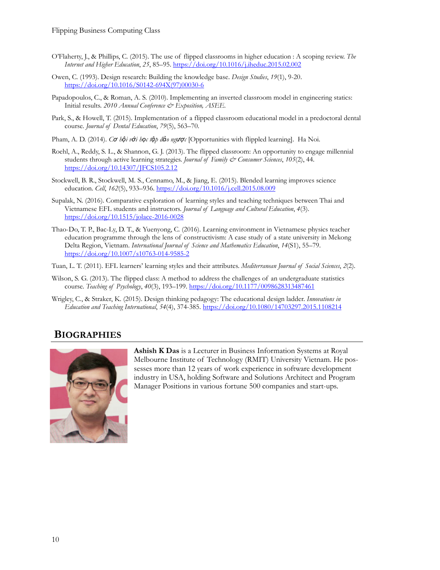- O'Flaherty, J., & Phillips, C. (2015). The use of flipped classrooms in higher education : A scoping review. *The Internet and Higher Education*, *25*, 85–95.<https://doi.org/10.1016/j.iheduc.2015.02.002>
- Owen, C. (1993). Design research: Building the knowledge base. *Design Studies*, *19*(1), 9-20. [https://doi.org/10.1016/S0142](https://doi.org/10.1016/S0142-694X(97)00030-6)-694X(97)00030-6
- Papadopoulos, C., & Roman, A. S. (2010). Implementing an inverted classroom model in engineering statics: Initial results. *2010 Annual Conference & Exposition, ASEE.*
- Park, S., & Howell, T. (2015). Implementation of a flipped classroom educational model in a predoctoral dental course. *Journal of Dental Education*, *79*(5), 563–70.
- Pham, A. D. (2014). *Cơ hội với học tập đảo ngược* [Opportunities with flippled learning]. Ha Noi.
- Roehl, A., Reddy, S. L., & Shannon, G. J. (2013). The flipped classroom: An opportunity to engage millennial students through active learning strategies. *Journal of Family & Consumer Sciences*, *105*(2), 44. <https://doi.org/10.14307/JFCS105.2.12>
- Stockwell, B. R., Stockwell, M. S., Cennamo, M., & Jiang, E. (2015). Blended learning improves science education. *Cell*, *162*(5), 933–936[. https://doi.org/10.1016/j.cell.2015.08.009](https://doi.org/10.1016/j.cell.2015.08.009)
- Supalak, N. (2016). Comparative exploration of learning styles and teaching techniques between Thai and Vietnamese EFL students and instructors. *Journal of Language and Cultural Education*, *4*(3). [https://doi.org/10.1515/jolace](https://doi.org/10.1515/jolace-2016-0028)-2016-0028
- Thao-Do, T. P., Bac-Ly, D. T., & Yuenyong, C. (2016). Learning environment in Vietnamese physics teacher education programme through the lens of constructivism: A case study of a state university in Mekong Delta Region, Vietnam. *International Journal of Science and Mathematics Education*, *14*(S1), 55–79. [https://doi.org/10.1007/s10763](https://doi.org/10.1007/s10763-014-9585-2)-014-9585-2
- Tuan, L. T. (2011). EFL learners' learning styles and their attributes. *Mediterranean Journal of Social Sciences*, *2*(2).
- Wilson, S. G. (2013). The flipped class: A method to address the challenges of an undergraduate statistics course. *Teaching of Psychology*, *40*(3), 193–199.<https://doi.org/10.1177/0098628313487461>
- Wrigley, C., & Straker, K. (2015). Design thinking pedagogy: The educational design ladder. *Innovations in Education and Teaching International*, *54*(4), 374-385. <https://doi.org/10.1080/14703297.2015.1108214>

### **BIOGRAPHIES**



**Ashish K Das** is a Lecturer in Business Information Systems at Royal Melbourne Institute of Technology (RMIT) University Vietnam. He possesses more than 12 years of work experience in software development industry in USA, holding Software and Solutions Architect and Program Manager Positions in various fortune 500 companies and start-ups.